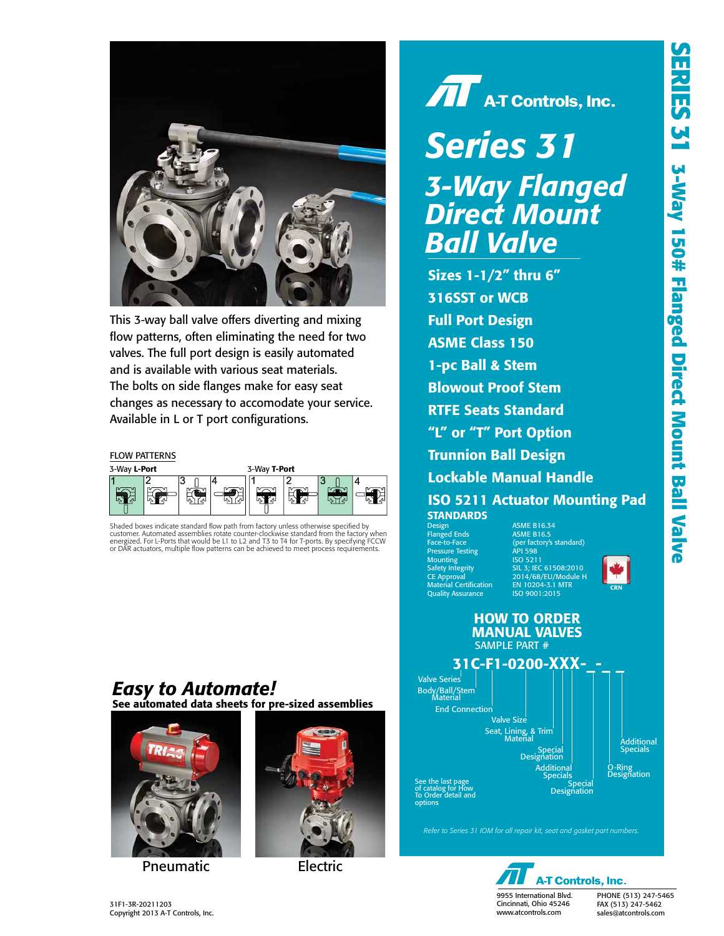

This 3-way ball valve offers diverting and mixing flow patterns, often eliminating the need for two valves. The full port design is easily automated and is available with various seat materials. The bolts on side flanges make for easy seat changes as necessary to accomodate your service. Available in L or T port configurations.

#### FLOW PATTERNS



Shaded boxes indicate standard flow path from factory unless otherwise specified by customer. Automated assemblies rotate counter-clockwise standard from the factory when energized. For L-Ports that would be L1 to L2 and T3 to T4 for T-ports. By specifying FCCW or DAR actuators, multiple flow patterns can be achieved to meet process requirements.

#### See automated data sheets for pre-sized assemblies *Easy to Automate!*



Pneumatic Electric





# *Series 31 3-Way Flanged Direct Mount Ball Valve*

Sizes 1-1/2" thru 6" 316SST or WCB Full Port Design ASME Class 150 1-pc Ball & Stem Blowout Proof Stem RTFE Seats Standard "L" or "T" Port Option Trunnion Ball Design Lockable Manual Handle ISO 5211 Actuator Mounting Pad **STANDARDS** 

Design ASME B16.34 Flanged Ends ASME B16.5 Pressure Testing API 598 Mounting ISO 5211 Material Certification EN 10204-3.1 MTR Quality Assurance

(per factory's standard)<br>API 598<br>ISO 5211 SIL 3; IEC 61508:2010 2014/68/EU/Module H<br>EN 10204-3.1 MTR





*Refer to Series 31 IOM for all repair kit, seat and gasket part numbers.*

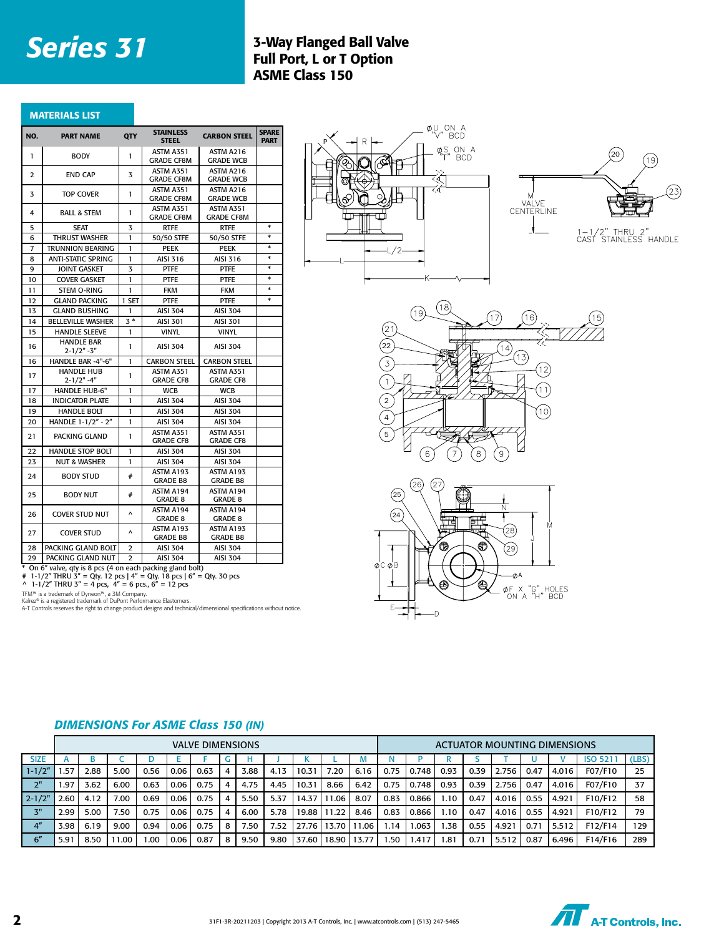### **Series 31** 3-Way Flanged Ball Valve Full Port, L or T Option ASME Class 150

|  | <b>MATERIALS LIST</b> |
|--|-----------------------|
|  |                       |
|  |                       |

| NO. | <b>PART NAME</b>                                        | QTY            | <b>STAINLESS</b><br><b>STEEL</b>     | <b>CARBON STEEL</b>            | <b>SPARE</b><br><b>PART</b> |  |
|-----|---------------------------------------------------------|----------------|--------------------------------------|--------------------------------|-----------------------------|--|
| 1   | <b>BODY</b>                                             | 1              | ASTM A351<br><b>GRADE CF8M</b>       | ASTM A216<br><b>GRADE WCB</b>  |                             |  |
| 2   | <b>END CAP</b>                                          | 3              | ASTM A351<br><b>GRADE CF8M</b>       | ASTM A216<br><b>GRADE WCB</b>  |                             |  |
| 3   | <b>TOP COVER</b>                                        | $\mathbf{I}$   | ASTM A351<br><b>GRADE CF8M</b>       | ASTM A216<br><b>GRADE WCB</b>  |                             |  |
| 4   | <b>BALL &amp; STEM</b>                                  | 1              | ASTM A351<br><b>GRADE CF8M</b>       | ASTM A351<br><b>GRADE CF8M</b> |                             |  |
| 5   | <b>SEAT</b>                                             | 3              | <b>RTFE</b>                          | <b>RTFE</b>                    | *                           |  |
| 6   | <b>THRUST WASHER</b>                                    | $\mathbf{I}$   | 50/50 STFE                           | 50/50 STFE                     | *                           |  |
| 7   | TRUNNION BEARING                                        | 1              | <b>PEEK</b>                          | PEEK                           | *                           |  |
| 8   | <b>ANTI-STATIC SPRING</b>                               | 1              | AISI 316                             | AISI 316                       | *                           |  |
| 9   | <b>JOINT GASKET</b>                                     | 3              | PTFE                                 | <b>PTFE</b>                    | *                           |  |
| 10  | <b>COVER GASKET</b>                                     | $\mathbf{I}$   | PTFE                                 | <b>PTFE</b>                    | *                           |  |
| 11  | STEM O-RING                                             | 1              | <b>FKM</b>                           | <b>FKM</b>                     | $\ast$                      |  |
| 12  | <b>GLAND PACKING</b>                                    | 1 SET          | PTFE                                 | <b>PTFE</b>                    | $\ast$                      |  |
| 13  | <b>GLAND BUSHING</b>                                    | 1              | <b>AISI 304</b>                      | AISI 304                       |                             |  |
| 14  | <b>BELLEVILLE WASHER</b>                                | $3*$           | AISI 301                             | <b>AISI 301</b>                |                             |  |
| 15  | <b>HANDLE SLEEVE</b>                                    | 1              | <b>VINYL</b>                         | <b>VINYL</b>                   |                             |  |
| 16  | <b>HANDLE BAR</b><br>$2 - 1/2" - 3"$                    | 1              | AISI 304                             | AISI 304                       |                             |  |
| 16  | HANDLE BAR -4"-6"                                       | 1              | <b>CARBON STEEL</b>                  | <b>CARBON STEEL</b>            |                             |  |
| 17  | <b>HANDLE HUB</b><br>$2 - 1/2" - 4"$                    | 1              | ASTM A351<br><b>GRADE CF8</b>        | ASTM A351<br><b>GRADE CF8</b>  |                             |  |
| 17  | <b>HANDLE HUB-6"</b>                                    | 1              | <b>WCB</b>                           | <b>WCB</b>                     |                             |  |
| 18  | <b>INDICATOR PLATE</b>                                  | 1              | AISI 304                             | AISI 304                       |                             |  |
| 19  | <b>HANDLE BOLT</b>                                      | 1              | <b>AISI 304</b>                      | <b>AISI 304</b>                |                             |  |
| 20  | HANDLE 1-1/2" - 2"                                      | $\mathbf{I}$   | <b>AISI 304</b>                      | <b>AISI 304</b>                |                             |  |
| 21  | PACKING GLAND                                           | 1              | <b>ASTM A351</b><br><b>GRADE CF8</b> | ASTM A351<br><b>GRADE CF8</b>  |                             |  |
| 22  | <b>HANDLE STOP BOLT</b>                                 | 1              | <b>AISI 304</b>                      | <b>AISI 304</b>                |                             |  |
| 23  | <b>NUT &amp; WASHER</b>                                 | $\mathbf{I}$   | AISI 304                             | <b>AISI 304</b>                |                             |  |
| 24  | <b>BODY STUD</b>                                        | #              | ASTM A193<br><b>GRADE B8</b>         | ASTM A193<br><b>GRADE B8</b>   |                             |  |
| 25  | <b>BODY NUT</b>                                         | #              | ASTM A194<br><b>GRADE 8</b>          | ASTM A194<br><b>GRADE 8</b>    |                             |  |
| 26  | <b>COVER STUD NUT</b>                                   | ٨              | ASTM A194<br><b>GRADE 8</b>          | ASTM A194<br><b>GRADE 8</b>    |                             |  |
| 27  | <b>COVER STUD</b>                                       | Λ              | ASTM A193<br><b>GRADE B8</b>         | ASTM A193<br><b>GRADE B8</b>   |                             |  |
| 28  | PACKING GLAND BOLT                                      | 2              | AISI 304                             | <b>AISI 304</b>                |                             |  |
| 29  | PACKING GLAND NUT                                       | $\overline{2}$ | <b>AISI 304</b>                      | <b>AISI 304</b>                |                             |  |
|     | On 6" valve gty is 8 pcs (4 on each packing gland bolt) |                |                                      |                                |                             |  |

\* On 6" valve, qty is 8 pcs (4 on each packing gland bolt)<br># 1-1/2" THRU 3" = Qty. 12 pcs | 4" = Qty. 18 pcs | 6" = Qty. 30 pcs<br>^ 1-1/2" THRU 3" = 4 pcs, 4" = 6 pcs., 6" = 12 pcs

TFM™ is a trademark of Dyneon™, a 3M Company.<br>Kalrez® is a registered trademark of DuPont Performance Elastomers.<br>A-T Controls reserves the right to change product designs and technical/dimensional specifications without n









|                 |               | VALVE DIMENSIONS |       |       |      |      |   |      |      |       |       |       |      | <b>ACTUATOR MOUNTING DIMENSIONS</b> |      |      |         |      |       |                |       |
|-----------------|---------------|------------------|-------|-------|------|------|---|------|------|-------|-------|-------|------|-------------------------------------|------|------|---------|------|-------|----------------|-------|
| <b>SIZE</b>     |               | в                |       |       |      |      |   |      |      |       |       | M     |      |                                     |      |      |         |      |       | <b>ISO 521</b> | (LBS) |
| $1 - 1/2"$      | .57           | 2.88             | 5.00  | 0.56  | 0.06 | 0.63 | 4 | 3.88 | 4.13 | 10.31 | 7.20  | 6.16  | 0.75 | 0.748                               | 0.93 | 0.39 | 2.756   | 0.47 | 4.016 | F07/F10        | 25    |
| 2"              | 1.97          | 3.62             | 6.00  | 0.63  | 0.06 | 0.75 | 4 | 4.75 | 4.45 | 10.31 | 8.66  | 6.42  | 0.75 | 0.748                               | 0.93 | 0.39 | 2.756   | 0.47 | 4.016 | F07/F10        | 37    |
| $2 - 1/2"$      | 2.60          | 4.12             | 7.00  | 0.69  | 0.06 | 0.75 |   | 5.50 | 5.37 | 14.37 | .06   | 8.07  | 0.83 | 0.866                               | 1.10 | 0.47 | 4.016   | 0.55 | 4.921 | F10/F12        | 58    |
| 3"              | 2.99          | 5.00             | 7.50  | 0.75  | 0.06 | 0.75 | 4 | 6.00 | 5.78 | 19.88 | 1.22  | 8.46  | 0.83 | 0.866                               | 1.10 | 0.47 | 4.016 l | 0.55 | 4.921 | F10/F12        | 79    |
| 4 <sup>''</sup> | 3.98          | 6.19             | 9.00  | 0.94  | 0.06 | 0.75 | 8 | '.50 | 7.52 | 27.76 | 13.70 | 11.06 | 1.14 | .063                                | .38  | 0.55 | 4.921   | 0.71 | 5.512 | F12/F14        | 129   |
| 6''             | $5.9^{\circ}$ | 8.50             | 11.00 | 00. ا | 0.06 | 0.87 | 8 | 9.50 | 9.80 | 37.60 | 18.90 | 13.77 | .50  | I.417                               | 1.81 | 0.71 | 5.512   | 0.87 | 6.496 | F14/F16        | 289   |

#### *DIMENSIONS For ASME Class 150 (IN)*

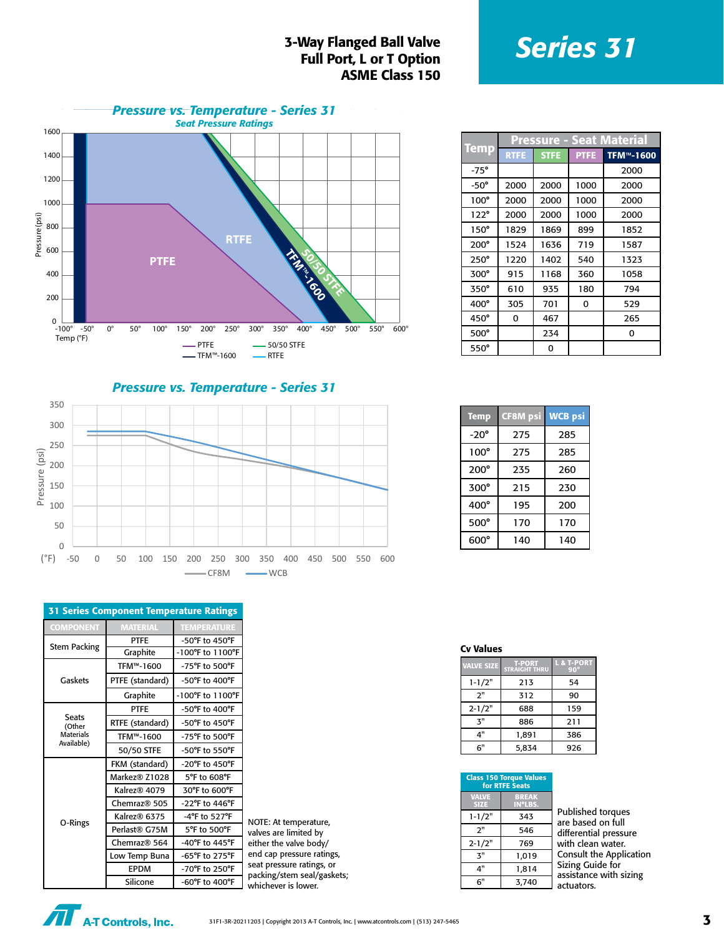### **S-Way Flanged Ball Valve**<br> **Series 31** Full Port, L or T Option ASME Class 150



*Pressure vs. Temperature - Series 31*



| <b>31 Series Component Temperature Ratings</b> |                          |                                      |  |  |
|------------------------------------------------|--------------------------|--------------------------------------|--|--|
| <b>COMPONENT</b>                               | <b>MATERIAL</b>          | <b>TEMPERATURE</b>                   |  |  |
| <b>Stem Packing</b>                            | <b>PTFE</b>              | $-50^{\circ}$ F to $450^{\circ}$ F   |  |  |
|                                                | Graphite                 | -100°F to 1100°F                     |  |  |
|                                                | TFM™-1600                | -75°F to 500°F                       |  |  |
| Gaskets                                        | PTFE (standard)          | -50°F to 400°F                       |  |  |
|                                                | Graphite                 | $-100^{\circ}$ F to $1100^{\circ}$ F |  |  |
|                                                | <b>PTFF</b>              | $-50^{\circ}$ F to 400 $^{\circ}$ F  |  |  |
| <b>Seats</b><br>(Other                         | RTFE (standard)          | $-50^{\circ}$ F to $450^{\circ}$ F   |  |  |
| <b>Materials</b>                               | TFM™-1600                | -75°F to 500°F                       |  |  |
| Available)                                     | 50/50 STFE               | -50°F to 550°F                       |  |  |
|                                                | FKM (standard)           | $-20^{\circ}$ F to 450 $^{\circ}$ F  |  |  |
|                                                | Markez® Z1028            | 5°F to 608°F                         |  |  |
|                                                | Kalrez <sup>®</sup> 4079 | 30°F to 600°F                        |  |  |
|                                                | Chemraz <sup>®</sup> 505 | -22°F to 446°F                       |  |  |
|                                                | Kalrez® 6375             | $-4$ °F to 527°F                     |  |  |
| O-Rings                                        | Perlast® G75M            | 5°F to 500°F                         |  |  |
|                                                | Chemraz® 564             | -40°F to 445°F                       |  |  |
|                                                | Low Temp Buna            | -65°F to 275°F                       |  |  |
|                                                | <b>EPDM</b>              | -70°F to 250°F                       |  |  |
|                                                | Silicone                 | $-60^{\circ}$ F to $400^{\circ}$ F   |  |  |

NOTE: At temperature, valves are limited by either the valve body/ end cap pressure ratings, seat pressure ratings, or packing/stem seal/gaskets; whichever is lower.

|             |             |             |             | Pressure - Seat Material |  |  |
|-------------|-------------|-------------|-------------|--------------------------|--|--|
| <u>Temp</u> | <b>RTFE</b> | <b>STFE</b> | <b>PTFE</b> | TFM <sup>™</sup> -1600   |  |  |
| $-75^\circ$ |             |             |             | 2000                     |  |  |
| $-50^\circ$ | 2000        | 2000        | 1000        | 2000                     |  |  |
| $100^\circ$ | 2000        | 2000        | 1000        | 2000                     |  |  |
| 122°        | 2000        | 2000        | 1000        | 2000                     |  |  |
| $150^\circ$ | 1829        | 1869        | 899         | 1852                     |  |  |
| $200^\circ$ | 1524        | 1636        | 719         | 1587                     |  |  |
| $250^\circ$ | 1220        | 1402        | 540         | 1323                     |  |  |
| 300°        | 915         | 1168        | 360         | 1058                     |  |  |
| 350°        | 610         | 935         | 180         | 794                      |  |  |
| 400°        | 305         | 701         | 0           | 529                      |  |  |
| $450^\circ$ | 0           | 467         |             | 265                      |  |  |
| $500^\circ$ |             | 234         |             | 0                        |  |  |
| 550°        |             | 0           |             |                          |  |  |

| <b>Temp</b> | <b>CF8M</b> psi | <b>WCB</b> psi |
|-------------|-----------------|----------------|
| $-20^\circ$ | 275             | 285            |
| $100^\circ$ | 275             | 285            |
| $200^\circ$ | 235             | 260            |
| $300^\circ$ | 215             | 230            |
| $400^\circ$ | 195             | 200            |
| $500^\circ$ | 170             | 170            |
| $600^\circ$ | 140             | 140            |

#### Cv Values

| <b>VALVE SIZE</b> | <b>T-PORT</b><br><b>STRAIGHT THRU</b> | L & T-PORT<br>$90^\circ$ |
|-------------------|---------------------------------------|--------------------------|
| $1 - 1/2"$        | 213                                   | 54                       |
| 2"                | 312                                   | 90                       |
| $2 - 1/2"$        | 688                                   | 159                      |
| 3"                | 886                                   | 211                      |
| 4"                | 1.891                                 | 386                      |
| 6"                | 5,834                                 | 926                      |

#### Class 150 Torque Values

|                             | for RTFE Seats          |                                     |
|-----------------------------|-------------------------|-------------------------------------|
| <b>VALVE</b><br><b>SIZE</b> | <b>BREAK</b><br>IN*LBS. |                                     |
| $1 - 1/2"$                  | 343                     | Published to<br>are based or        |
| 2"                          | 546                     | differential p                      |
| $2 - 1/2"$                  | 769                     | with clean w                        |
| ٦"                          | 1.019                   | Consult the                         |
| 4"                          | 1.814                   | <b>Sizing Guide</b><br>assistance w |
| 6"                          | 3.740                   | actuators                           |

rques n full oressure vater. Application  $for$ ith sizing actuators.

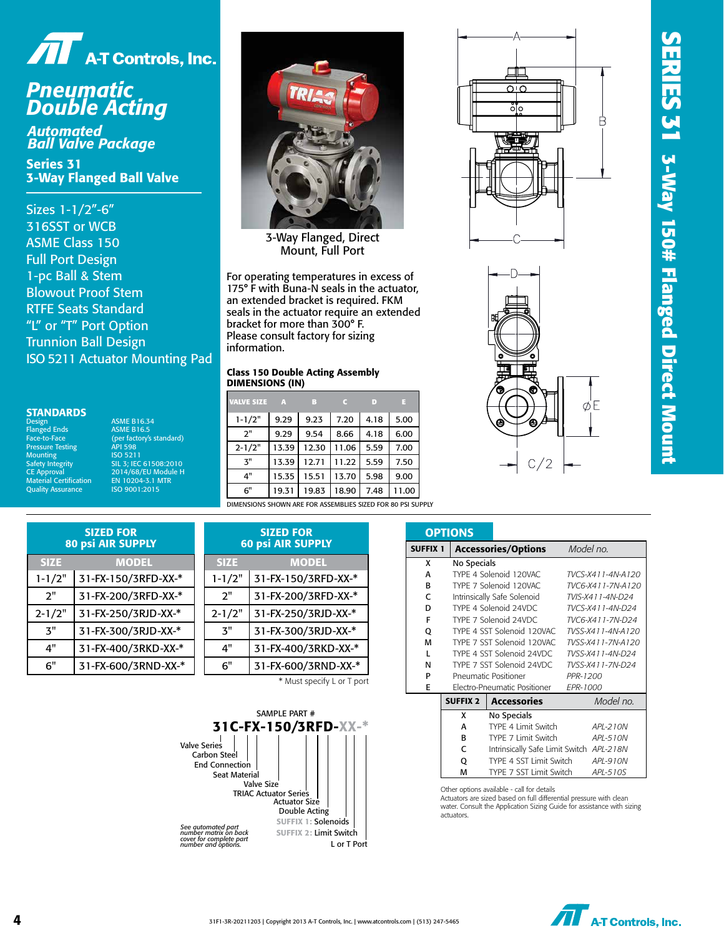



## *Pneumatic Double Acting*

*Automated Ball Valve Package*

Series 31 3-Way Flanged Ball Valve

Sizes 1-1/2"-6" 316SST or WCB ASME Class 150 Full Port Design 1-pc Ball & Stem Blowout Proof Stem RTFE Seats Standard "L" or "T" Port Option Trunnion Ball Design ISO 5211 Actuator Mounting Pad

#### **STANDARDS**

Design<br>Flanged Ends Pressure Testing<br>Pressure Testing API 598<br>Mounting ISO 5211 Mounting ISO 5211 Material Certification EN 10204-3.1 MTR Quality Assurance

ASME B16.34 Flanged Ends<br>
Face-to-Face (per factory's standard) Safety Integrity SIL 3; IEC 61508:2010 CE Approval 2014/68/EU Module H



3-Way Flanged, Direct Mount, Full Port

For operating temperatures in excess of 175° F with Buna-N seals in the actuator, an extended bracket is required. FKM seals in the actuator require an extended bracket for more than 300° F. Please consult factory for sizing information.

#### Class 150 Double Acting Assembly DIMENSIONS (IN)

| <b>VALVE SIZE</b>                                      | $\mathbb{A}$ | в     |       | D    | ы    |
|--------------------------------------------------------|--------------|-------|-------|------|------|
| $1 - 1/2"$                                             | 9.29         | 9.23  | 7.20  | 4.18 | 5.00 |
| 2"                                                     | 9.29         | 9.54  | 8.66  | 4.18 | 6.00 |
| $2 - 1/2"$                                             | 13.39        | 12.30 | 11.06 | 5.59 | 7.00 |
| 3"                                                     | 13.39        | 12.71 | 11.22 | 5.59 | 7.50 |
| 4"                                                     | 15.35        | 15.51 | 13.70 | 5.98 | 9.00 |
| 6"                                                     | 19.31        | 19.83 | 18.90 | 7.48 | 1.00 |
| DIMENSIONS SHOWN ARE FOR ASSEMBLIFS SIZED FOR 80 RSLSU |              |       |       |      |      |

DIMENSIONS SHOWN ARE FOR ASSEMBLIES SIZED FOR 80 PSI SUPPLY

| סים<br>ैं<br>ပ္ခြ |  |
|-------------------|--|
|                   |  |
|                   |  |
|                   |  |
|                   |  |
|                   |  |



| <b>SIZED FOR</b><br><b>80 psi AIR SUPPLY</b> |                     |  |
|----------------------------------------------|---------------------|--|
| <b>SIZE</b>                                  | <b>MODEL</b>        |  |
| $1 - 1/2"$                                   | 31-FX-150/3RFD-XX-* |  |
| 2"                                           | 31-FX-200/3RFD-XX-* |  |
| $2 - 1/2"$                                   | 31-FX-250/3RJD-XX-* |  |
| <b>ス</b> ‼                                   | 31-FX-300/3RJD-XX-* |  |
| Δ"                                           | 31-FX-400/3RKD-XX-* |  |
| 6"                                           | 31-FX-600/3RND-XX-* |  |

| <b>SIZED FOR</b><br><b>60 psi AIR SUPPLY</b> |                            |  |  |  |
|----------------------------------------------|----------------------------|--|--|--|
| <b>SIZE</b>                                  | <b>MODEL</b>               |  |  |  |
| $1 - 1/2"$                                   | 31-FX-150/3RFD-XX-*        |  |  |  |
| 2"                                           | 31-FX-200/3RFD-XX-*        |  |  |  |
| $2 - 1/2"$                                   | 31-FX-250/3RJD-XX-*        |  |  |  |
| 3"                                           | 31-FX-300/3RJD-XX-*        |  |  |  |
| 4"                                           | 31-FX-400/3RKD-XX-*        |  |  |  |
| ճ"                                           | 31-FX-600/3RND-XX-*        |  |  |  |
|                                              | * Must specify L or T port |  |  |  |



|                 | <b>OPTIONS</b>  |                                                 |                   |  |
|-----------------|-----------------|-------------------------------------------------|-------------------|--|
| <b>SUFFIX 1</b> |                 | <b>Accessories/Options</b>                      | Model no.         |  |
| x               | No Specials     |                                                 |                   |  |
| A               |                 | TYPE 4 Solenoid 120VAC                          | TVCS-X411-4N-A120 |  |
| R               |                 | TYPE 7 Solenoid 120VAC                          | TVC6-X411-7N-A120 |  |
| C               |                 | Intrinsically Safe Solenoid                     | TVIS-X411-4N-D24  |  |
| D               |                 | TYPE 4 Solenoid 24VDC                           | TVCS-X411-4N-D24  |  |
| F               |                 | TYPE 7 Solenoid 24VDC                           | TVC6-X411-7N-D24  |  |
| Q               |                 | TYPE 4 SST Solenoid 120VAC                      | TVSS-X411-4N-A120 |  |
| M               |                 | TYPE 7 SST Solenoid 120VAC<br>TVSS-X411-7N-A120 |                   |  |
| $\mathbf{I}$    |                 | TYPE 4 SST Solenoid 24VDC                       | TVSS-X411-4N-D24  |  |
| N               |                 | TYPE 7 SST Solenoid 24VDC                       | TVSS-X411-7N-D24  |  |
| P               |                 | Pneumatic Positioner                            | PPR-1200          |  |
| E               |                 | Electro-Pneumatic Positioner                    | EPR-1000          |  |
|                 | <b>SUFFIX 2</b> | <b>Accessories</b>                              | Model no.         |  |
|                 | x               | No Specials                                     |                   |  |
|                 | А               | TYPE 4 Limit Switch                             | APL-210N          |  |
|                 | R               | TYPE 7 Limit Switch                             | APL-510N          |  |
|                 | c               | Intrinsically Safe Limit Switch APL-218N        |                   |  |
|                 | Q               | TYPE 4 SST Limit Switch                         | API-910N          |  |
|                 | м               | TYPE 7 SST Limit Switch                         | APL-510S          |  |

Other options available - call for details

Actuators are sized based on full differential pressure with clean water. Consult the Application Sizing Guide for assistance with sizing actuators.

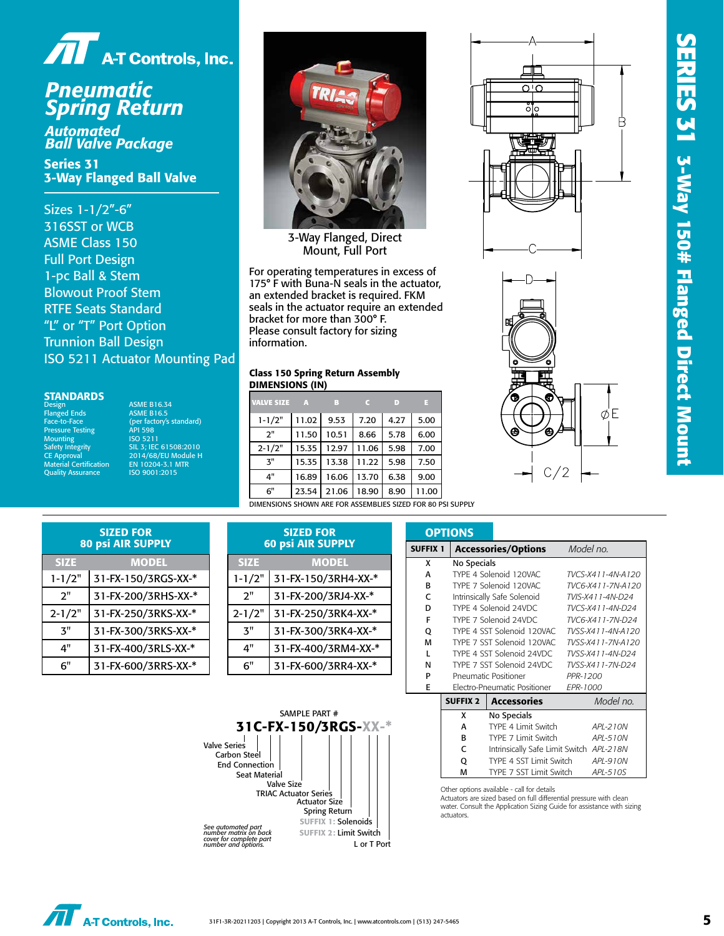

## *Pneumatic Spring Return*

*Automated Ball Valve Package*

Series 31 3-Way Flanged Ball Valve

Sizes 1-1/2"-6" 316SST or WCB ASME Class 150 Full Port Design 1-pc Ball & Stem Blowout Proof Stem RTFE Seats Standard "L" or "T" Port Option Trunnion Ball Design ISO 5211 Actuator Mounting Pad



3-Way Flanged, Direct Mount, Full Port

For operating temperatures in excess of 175° F with Buna-N seals in the actuator, an extended bracket is required. FKM seals in the actuator require an extended bracket for more than 300° F. Please consult factory for sizing information.

#### Class 150 Spring Return Assembly DIMENSIONS (IN)

| <b>STANDARDS</b><br><b>Design</b>                   | <b>ASME B16.34</b>                            | <b>VALVE SIZE</b> | A     | в     |       | D    |       |
|-----------------------------------------------------|-----------------------------------------------|-------------------|-------|-------|-------|------|-------|
| <b>Flanged Ends</b><br>Face-to-Face                 | <b>ASME B16.5</b><br>(per factory's standard) | $1 - 1/2"$        | 11.02 | 9.53  | 7.20  | 4.27 | 5.00  |
| <b>Pressure Testing</b><br><b>Mounting</b>          | <b>API 598</b><br>ISO 5211                    | 2"                | 11.50 | 10.51 | 8.66  | 5.78 | 6.00  |
| Safety Integrity                                    | SIL 3: IEC 61508:2010                         | $2 - 1/2"$        | 15.35 | 12.97 | 11.06 | 5.98 | 7.00  |
| <b>CE Approval</b><br><b>Material Certification</b> | 2014/68/EU Module H<br>EN 10204-3.1 MTR       | 3"                | 15.35 | 13.38 | 11.22 | 5.98 | 7.50  |
| <b>Quality Assurance</b>                            | ISO 9001:2015                                 | 4"                | 16.89 | 16.06 | 13.70 | 6.38 | 9.00  |
|                                                     |                                               | 6"                | 23.54 | 21.06 | 18.90 | 8.90 | 11.00 |

DIMENSIONS SHOWN ARE FOR ASSEMBLIES SIZED FOR 80 PSI SUPPLY





| <b>SIZED FOR</b><br><b>80 psi AIR SUPPLY</b> |                     |  |  |  |
|----------------------------------------------|---------------------|--|--|--|
| <b>SIZE</b>                                  | <b>MODEL</b>        |  |  |  |
| $1 - 1/2"$                                   | 31-FX-150/3RGS-XX-* |  |  |  |
| 2"                                           | 31-FX-200/3RHS-XX-* |  |  |  |
| $2 - 1/2"$                                   | 31-FX-250/3RKS-XX-* |  |  |  |
| ス"                                           | 31-FX-300/3RKS-XX-* |  |  |  |
| 4"                                           | 31-FX-400/3RLS-XX-* |  |  |  |
| 6"                                           | 31-FX-600/3RRS-XX-* |  |  |  |

| <b>SIZED FOR</b><br><b>60 psi AIR SUPPLY</b> |  |  |  |  |
|----------------------------------------------|--|--|--|--|
| <b>MODEL</b>                                 |  |  |  |  |
| 31-FX-150/3RH4-XX-*                          |  |  |  |  |
| 31-FX-200/3RJ4-XX-*                          |  |  |  |  |
| 31-FX-250/3RK4-XX-*                          |  |  |  |  |
| 31-FX-300/3RK4-XX-*                          |  |  |  |  |
| 31-FX-400/3RM4-XX-*                          |  |  |  |  |
| 31-FX-600/3RR4-XX-*                          |  |  |  |  |
|                                              |  |  |  |  |



|                 | <b>OPTIONS</b>  |                                          |                   |  |  |
|-----------------|-----------------|------------------------------------------|-------------------|--|--|
| <b>SUFFIX 1</b> |                 | <b>Accessories/Options</b>               | Model no.         |  |  |
| x               | No Specials     |                                          |                   |  |  |
| A               |                 | TYPE 4 Solenoid 120VAC                   | TVCS-X411-4N-A120 |  |  |
| R               |                 | TYPE 7 Solenoid 120VAC                   | TVC6-X411-7N-A120 |  |  |
| C               |                 | Intrinsically Safe Solenoid              | TVIS-X411-4N-D24  |  |  |
| D               |                 | TYPE 4 Solenoid 24VDC                    | TVCS-X411-4N-D24  |  |  |
| F               |                 | TYPE 7 Solenoid 24VDC                    | TVC6-X411-7N-D24  |  |  |
| Q               |                 | TYPE 4 SST Solenoid 120VAC               | TVSS-X411-4N-A120 |  |  |
| М               |                 | TYPE 7 SST Solenoid 120VAC               | TVSS-X411-7N-A120 |  |  |
| L               |                 | TYPE 4 SST Solenoid 24VDC                | TVSS-X411-4N-D24  |  |  |
| N               |                 | TYPE 7 SST Solenoid 24VDC                | TVSS-X411-7N-D24  |  |  |
| P               |                 | Pneumatic Positioner                     | PPR-1200          |  |  |
| E               |                 | Electro-Pneumatic Positioner             | EPR-1000          |  |  |
|                 | <b>SUFFIX 2</b> | <b>Accessories</b>                       | Model no.         |  |  |
|                 | x               | No Specials                              |                   |  |  |
|                 | А               | TYPE 4 Limit Switch                      | APL-210N          |  |  |
|                 | R               | TYPE 7 Limit Switch                      | APL-510N          |  |  |
|                 | c               | Intrinsically Safe Limit Switch APL-218N |                   |  |  |
|                 | Q               | TYPE 4 SST Limit Switch                  | API-910N          |  |  |
|                 | М               | TYPE 7 SST Limit Switch                  | APL-510S          |  |  |

Other options available - call for details

Actuators are sized based on full differential pressure with clean water. Consult the Application Sizing Guide for assistance with sizing actuators.

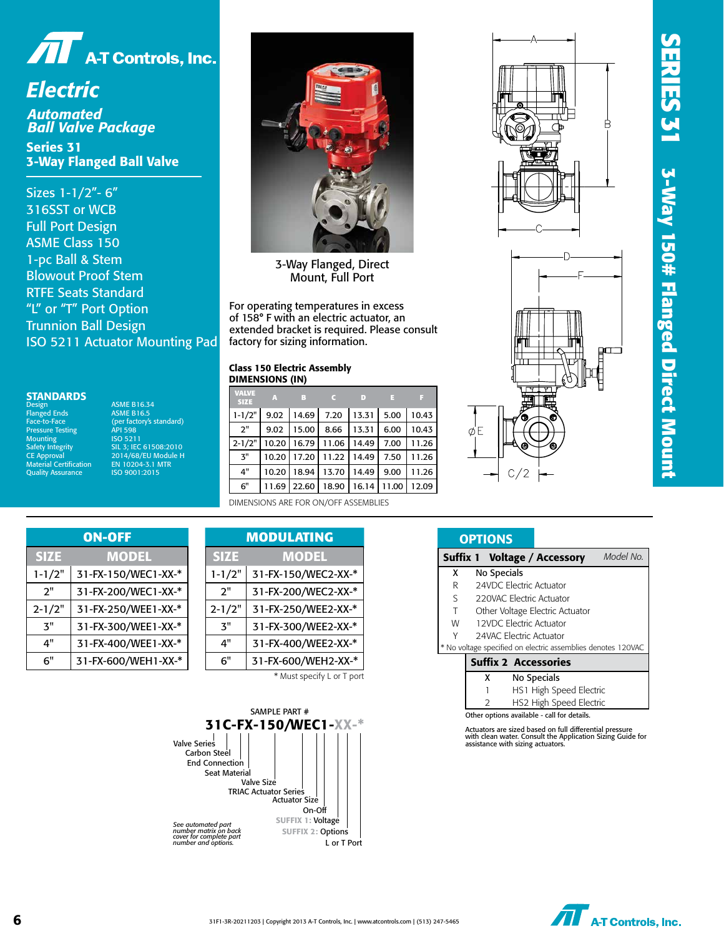

*Electric Automated Ball Valve Package*

Series 31 3-Way Flanged Ball Valve

Sizes 1-1/2"- 6" 316SST or WCB Full Port Design ASME Class 150 1-pc Ball & Stem Blowout Proof Stem RTFE Seats Standard "L" or "T" Port Option Trunnion Ball Design ISO 5211 Actuator Mounting Pad

#### **STANDARDS**

Design<br>Flanged Ends Face-to-Face<br>Pressure Testing Mounting<br>Safety Integrity **Quality Assurance** 

ASME B16.34<br>ASME B16.5 Factory's standard)<br>API 598 Associate County (1990)<br>Safety Integrity (1992) SIL 3; IEC 61508:2010<br>CE Approval (2014/68/EU Module H Expansive CH 2014/68/EU Module H<br>Approval 2014/68/EU Module H<br>terial Certification EN 10204-3.1 MTR EN 10204-3.1 MTR<br>ISO 9001:2015



3-Way Flanged, Direct Mount, Full Port

For operating temperatures in excess of 158° F with an electric actuator, an extended bracket is required. Please consult factory for sizing information.

#### Class 150 Electric Assembly DIMENSIONS (IN)

| VALVE<br><b>SIZE</b> | $\mathbb{R}$ | $\mathbf{B}$   |             | $\Box$ | Æ7    | ↔     |
|----------------------|--------------|----------------|-------------|--------|-------|-------|
| $1 - 1/2"$           |              | $9.02$   14.69 | 7.20        | 13.31  | 5.00  | 10.43 |
| 2"                   | 9.02         | 15.00          | 8.66        | 13.31  | 6.00  | 10.43 |
| $2 - 1/2"$           | 10.20        | 16.79 11.06    |             | 14.49  | 7.00  | 11.26 |
| 3"                   | 10.20        |                | 17.20 11.22 | 14.49  | 7.50  | 11.26 |
| 4"                   | 10.20        | 18.94          | 13.70       | 14.49  | 9.00  | 11.26 |
| 6"                   |              | 11.69 22.60    | 18.90       | 16.14  | 11.00 | 12.09 |
|                      |              |                |             |        |       |       |

DIMENSIONS ARE FOR ON/OFF ASSEMBLIES

| <b>ON-OFF</b> |                     |  |  |  |
|---------------|---------------------|--|--|--|
| <b>SIZE</b>   | <b>MODEL</b>        |  |  |  |
| $1 - 1/2"$    | 31-FX-150/WEC1-XX-* |  |  |  |
| ን"            | 31-FX-200/WEC1-XX-* |  |  |  |
| $2 - 1/2"$    | 31-FX-250/WEE1-XX-* |  |  |  |
| ጞ"            | 31-FX-300/WEE1-XX-* |  |  |  |
| 4"            | 31-FX-400/WEE1-XX-* |  |  |  |
| ิ 6"          | 31-FX-600/WEH1-XX-* |  |  |  |

| ON-OFF             |  |             | <b>MODULATING</b>   |
|--------------------|--|-------------|---------------------|
| <b>MODEL</b>       |  | <b>SIZE</b> | <b>MODEL</b>        |
| 1-FX-150/WEC1-XX-* |  | $1 - 1/2"$  | 31-FX-150/WEC2-XX-* |
| 1-FX-200/WEC1-XX-* |  | 2"          | 31-FX-200/WEC2-XX-* |
| 1-FX-250/WEE1-XX-* |  | $2 - 1/2"$  | 31-FX-250/WEE2-XX-* |
| 1-FX-300/WEE1-XX-* |  | ጞ"          | 31-FX-300/WEE2-XX-* |
| 1-FX-400/WEE1-XX-* |  | 4"          | 31-FX-400/WEE2-XX-* |
| 1-FX-600/WEH1-XX-* |  | 6"          | 31-FX-600/WEH2-XX-* |
|                    |  |             |                     |

\* Must specify L or T port







## **OPTIONS**

|   |             | Suffix 1 Voltage / Accessory                                                                                                                               | Model No. |
|---|-------------|------------------------------------------------------------------------------------------------------------------------------------------------------------|-----------|
| x | No Specials |                                                                                                                                                            |           |
| R |             | 24VDC Electric Actuator                                                                                                                                    |           |
| S |             | 220VAC Electric Actuator                                                                                                                                   |           |
| T |             | Other Voltage Electric Actuator                                                                                                                            |           |
| W |             | 12VDC Electric Actuator                                                                                                                                    |           |
| Υ |             | 24VAC Electric Actuator                                                                                                                                    |           |
|   |             | * No voltage specified on electric assemblies denotes 120VAC                                                                                               |           |
|   |             | <b>Suffix 2 Accessories</b>                                                                                                                                |           |
|   | x           | No Specials                                                                                                                                                |           |
|   |             | HS1 High Speed Electric                                                                                                                                    |           |
|   |             | HS2 High Speed Electric                                                                                                                                    |           |
|   |             | Other options available - call for details.                                                                                                                |           |
|   |             | Actuators are sized based on full differential pressure<br>with clean water. Consult the Application Sizing Guide for<br>assistance with sizing actuators. |           |

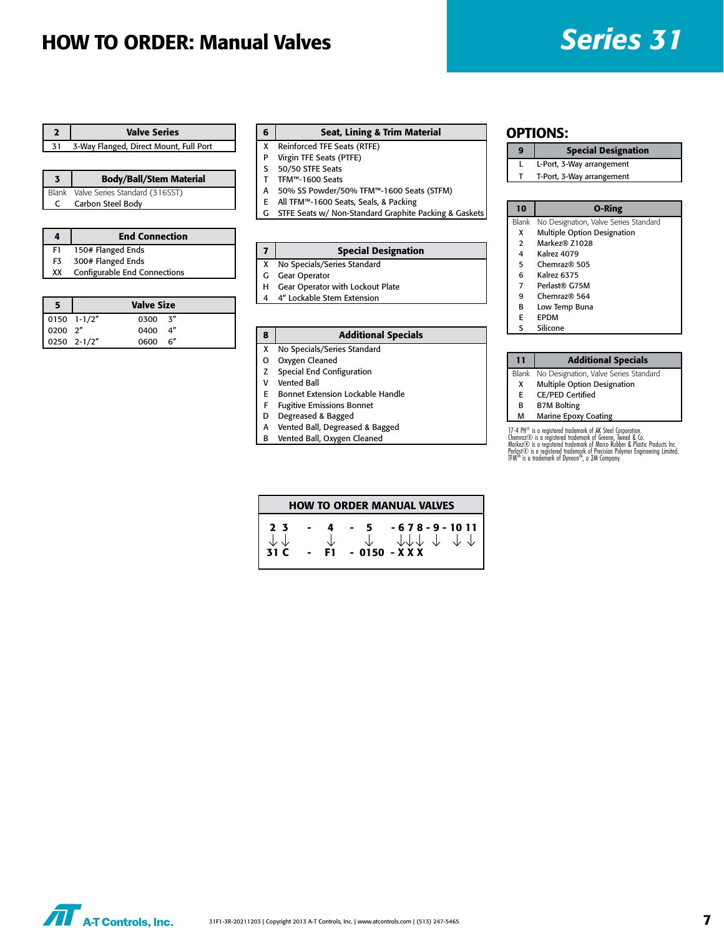## HOW TO ORDER: Manual Valves *Series 31*

|    | <b>Valve Series</b>                    |
|----|----------------------------------------|
| 31 | 3-Way Flanged, Direct Mount, Full Port |

| <b>Body/Ball/Stem Material</b>       |
|--------------------------------------|
| Blank Valve Series Standard (316SST) |
| Carbon Steel Body                    |

|    | <b>End Connection</b>        |
|----|------------------------------|
| F1 | 150# Flanged Ends            |
| F3 | 300# Flanged Ends            |
| xх | Configurable End Connections |
|    |                              |

|                                                                                 |             | <b>Valve Size</b> |  |
|---------------------------------------------------------------------------------|-------------|-------------------|--|
|                                                                                 |             | $0300 - 3''$      |  |
| $\begin{array}{ c c c } \hline 0150 & 1-1/2'' \\ \hline 0200 & 2'' \end{array}$ |             | 0400 4"           |  |
|                                                                                 | 0250 2-1/2" | 0600 6"           |  |

#### 6 Seat, Lining & Trim Material

- X Reinforced TFE Seats (RTFE)
- P Virgin TFE Seats (PTFE) S 50/50 STFE Seats
- T TFM™-1600 Seats
- A 50% SS Powder/50% TFM™-1600 Seats (STFM)
- E All TFM™-1600 Seats, Seals, & Packing
- C STFE Seats w/ Non-Standard Graphite Packing & Gaskets 10 O-Ring

| $\mathbf{7}$ | <b>Special Designation</b>  |
|--------------|-----------------------------|
| X            | No Specials/Series Standard |

- G Gear Operator
- H Gear Operator with Lockout Plate
- 4 4" Lockable Stem Extension

#### 8 | Additional Specials

- X No Specials/Series Standard
- O Oxygen Cleaned
- Z Special End Configuration
- V Vented Ball
- E Bonnet Extension Lockable Handle
- F Fugitive Emissions Bonnet
- D Degreased & Bagged
- A Vented Ball, Degreased & Bagged
- B Vented Ball, Oxygen Cleaned

#### OPTIONS:

#### 9 | Special Designation

- L L-Port, 3-Way arrangement
- T T-Port, 3-Way arrangement

- Blank No Designation, Valve Series Standard
- X Multiple Option Designation 2 Markez® Z1028
- 
- 4 Kalrez 4079
- 5 Chemraz® 505
- 6 Kalrez 6375
- 7 Perlast® G75M
- 9 Chemraz® 564
- B Low Temp Buna
- E EPDM
- S Silicone

### 11 | Additional Specials

- Blank No Designation, Valve Series Standard
- X Multiple Option Designation
- E CE/PED Certified
- B B7M Bolting
- M Marine Epoxy Coating

17-4 PH® is a registered trademark of AK Steel Corporation.<br>Chemraz© is a registered trademark of Greene, Tweed & Co.<br>Markez© is a registered trademark of Marco Rubber & Plastic Products Inc.<br>Perlast© is a registered trade

|                                          |     |     | <b>HOW TO ORDER MANUAL VALVES</b>                                                                  |
|------------------------------------------|-----|-----|----------------------------------------------------------------------------------------------------|
| 2 <sup>7</sup><br>$\downarrow\downarrow$ | 4   | - 5 | $-678 - 9 - 1011$<br>$\downarrow$ $\downarrow$ $\downarrow$ $\downarrow$ $\downarrow$ $\downarrow$ |
| 31C                                      | F1. |     | $-0150 - XXX$                                                                                      |